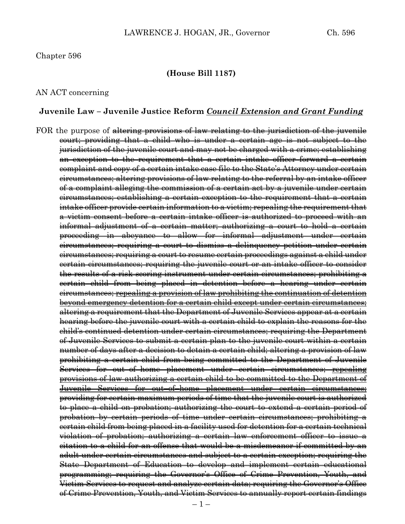#### Chapter 596

#### **(House Bill 1187)**

#### AN ACT concerning

#### **Juvenile Law – Juvenile Justice Reform** *Council Extension and Grant Funding*

FOR the purpose of altering provisions of law relating to the jurisdiction of the juvenile court; providing that a child who is under a certain age is not subject to the jurisdiction of the juvenile court and may not be charged with a crime; establishing an exception to the requirement that a certain intake officer forward a certain complaint and copy of a certain intake case file to the State's Attorney under certain circumstances; altering provisions of law relating to the referral by an intake officer of a complaint alleging the commission of a certain act by a juvenile under certain circumstances; establishing a certain exception to the requirement that a certain intake officer provide certain information to a victim; repealing the requirement that a victim consent before a certain intake officer is authorized to proceed with an informal adjustment of a certain matter; authorizing a court to hold a certain proceeding in abeyance to allow for informal adjustment under certain circumstances; requiring a court to dismiss a delinquency petition under certain circumstances; requiring a court to resume certain proceedings against a child under certain circumstances; requiring the juvenile court or an intake officer to consider the results of a risk scoring instrument under certain circumstances; prohibiting a certain child from being placed in detention before a hearing under certain circumstances; repealing a provision of law prohibiting the continuation of detention beyond emergency detention for a certain child except under certain circumstances; altering a requirement that the Department of Juvenile Services appear at a certain hearing before the juvenile court with a certain child to explain the reasons for the child's continued detention under certain circumstances; requiring the Department of Juvenile Services to submit a certain plan to the juvenile court within a certain number of days after a decision to detain a certain child; altering a provision of law prohibiting a certain child from being committed to the Department of Juvenile Services for out–of–home placement under certain circumstances; repealing provisions of law authorizing a certain child to be committed to the Department of Juvenile Services for out–of–home placement under certain circumstances; providing for certain maximum periods of time that the juvenile court is authorized to place a child on probation; authorizing the court to extend a certain period of probation by certain periods of time under certain circumstances; prohibiting a certain child from being placed in a facility used for detention for a certain technical violation of probation; authorizing a certain law enforcement officer to issue a citation to a child for an offense that would be a misdemeanor if committed by an adult under certain circumstances and subject to a certain exception; requiring the State Department of Education to develop and implement certain educational programming; requiring the Governor's Office of Crime Prevention, Youth, and Victim Services to request and analyze certain data; requiring the Governor's Office of Crime Prevention, Youth, and Victim Services to annually report certain findings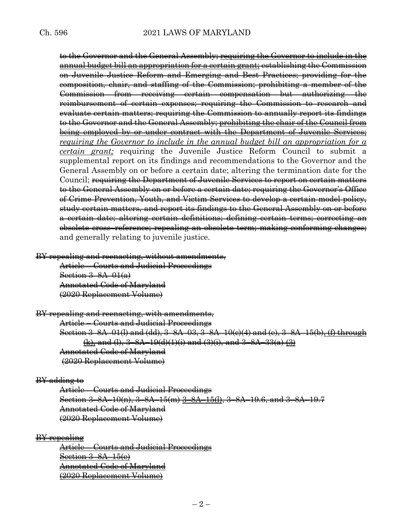to the Governor and the General Assembly; requiring the Governor to include in the annual budget bill an appropriation for a certain grant; establishing the Commission on Juvenile Justice Reform and Emerging and Best Practices; providing for the composition, chair, and staffing of the Commission; prohibiting a member of the Commission from receiving certain compensation but authorizing the reimbursement of certain expenses; requiring the Commission to research and evaluate certain matters; requiring the Commission to annually report its findings to the Governor and the General Assembly; prohibiting the chair of the Council from being employed by or under contract with the Department of Juvenile Services; *requiring the Governor to include in the annual budget bill an appropriation for a certain grant;* requiring the Juvenile Justice Reform Council to submit a supplemental report on its findings and recommendations to the Governor and the General Assembly on or before a certain date; altering the termination date for the Council; requiring the Department of Juvenile Services to report on certain matters to the General Assembly on or before a certain date; requiring the Governor's Office of Crime Prevention, Youth, and Victim Services to develop a certain model policy, study certain matters, and report its findings to the General Assembly on or before a certain date; altering certain definitions; defining certain terms; correcting an obsolete cross–reference; repealing an obsolete term; making conforming changes; and generally relating to juvenile justice.

BY repealing and reenacting, without amendments,

Article – Courts and Judicial Proceedings Section 3–8A–01(a) Annotated Code of Maryland (2020 Replacement Volume)

BY repealing and reenacting, with amendments, Article – Courts and Judicial Proceedings Section 3–8A–01(l) and (dd), 3–8A–03, 3–8A–10(c)(4) and (e), 3–8A–15(b), (f) through  $(k)$ , and (l),  $3-8A-19(d)(1)(i)$  and  $(3)(i)$ , and  $3-8A-33(a)(3)$ Annotated Code of Maryland (2020 Replacement Volume)

### BY adding to

Article – Courts and Judicial Proceedings Section 3–8A–10(n), 3–8A–15(m) 3–8A–15(l), 3–8A–19.6, and 3–8A–19.7 Annotated Code of Maryland (2020 Replacement Volume)

BY repealing

Article – Courts and Judicial Proceedings Section 3–8A–15(e) Annotated Code of Maryland (2020 Replacement Volume)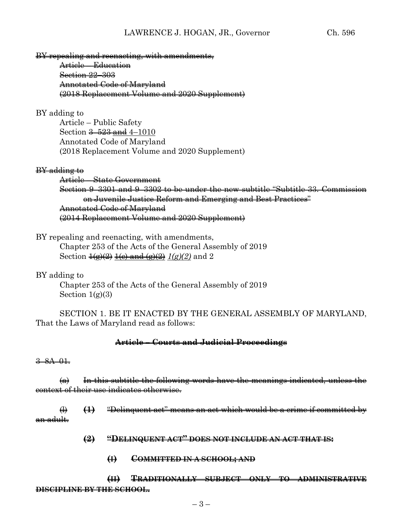BY repealing and reenacting, with amendments,

Article – Education Section 22–303 Annotated Code of Maryland (2018 Replacement Volume and 2020 Supplement)

## BY adding to

Article – Public Safety Section  $\frac{3-523}{2}$  and 4-1010 Annotated Code of Maryland (2018 Replacement Volume and 2020 Supplement)

### BY adding to

Article – State Government Section 9–3301 and 9–3302 to be under the new subtitle "Subtitle 33. Commission on Juvenile Justice Reform and Emerging and Best Practices" Annotated Code of Maryland (2014 Replacement Volume and 2020 Supplement)

BY repealing and reenacting, with amendments,

Chapter 253 of the Acts of the General Assembly of 2019 Section 1(g)(2) 1(c) and (g)(2) *1(g)(2)* and 2

BY adding to

Chapter 253 of the Acts of the General Assembly of 2019 Section  $1(g)(3)$ 

SECTION 1. BE IT ENACTED BY THE GENERAL ASSEMBLY OF MARYLAND, That the Laws of Maryland read as follows:

## **Article – Courts and Judicial Proceedings**

### 3–8A–01.

 $(a)$  In this subtitle the following words have the meanings indicated, unless the context of their use indicates otherwise.

(l) **(1)** "Delinquent act" means an act which would be a crime if committed by an adult.

- **(2) "DELINQUENT ACT" DOES NOT INCLUDE AN ACT THAT IS:**
	- **(I) COMMITTED IN A SCHOOL; AND**

**(II) TRADITIONALLY SUBJECT ONLY TO ADMINISTRATIVE DISCIPLINE BY THE SCHOOL.**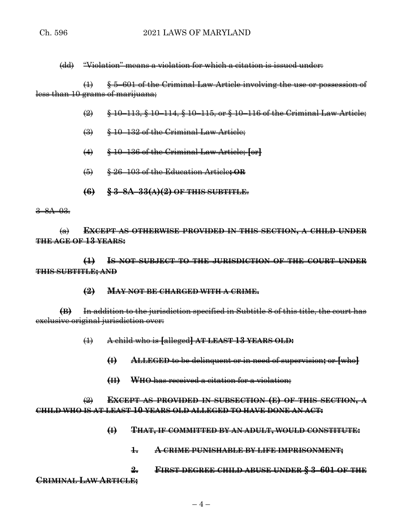(dd) "Violation" means a violation for which a citation is issued under:

(1) § 5–601 of the Criminal Law Article involving the use or possession of less than 10 grams of marijuana;

- (2) § 10–113, § 10–114, § 10–115, or § 10–116 of the Criminal Law Article;
- (3) § 10–132 of the Criminal Law Article;
- (4) § 10–136 of the Criminal Law Article; **[**or**]**
- (5) § 26–103 of the Education Article**; OR**
- **(6) § 3–8A–33(A)(2) OF THIS SUBTITLE**.

 $3 - 8A - 03.$ 

(a) **EXCEPT AS OTHERWISE PROVIDED IN THIS SECTION, A CHILD UNDER THE AGE OF 13 YEARS:**

**(1) IS NOT SUBJECT TO THE JURISDICTION OF THE COURT UNDER THIS SUBTITLE; AND** 

**(2) MAY NOT BE CHARGED WITH A CRIME.**

**(B)** In addition to the jurisdiction specified in Subtitle 8 of this title, the court has exclusive original jurisdiction over:

- (1) A child who is **[**alleged**] AT LEAST 13 YEARS OLD:**
	- **(I) ALLEGED** to be delinquent or in need of supervision**;** or **[**who**]**
	- **(II) WHO** has received a citation for a violation;

(2) **EXCEPT AS PROVIDED IN SUBSECTION (E) OF THIS SECTION, A CHILD WHO IS AT LEAST 10 YEARS OLD ALLEGED TO HAVE DONE AN ACT:**

- **(I) THAT, IF COMMITTED BY AN ADULT, WOULD CONSTITUTE:**
	- **1. A CRIME PUNISHABLE BY LIFE IMPRISONMENT;**

**2. FIRST DEGREE CHILD ABUSE UNDER § 3–601 OF THE CRIMINAL LAW ARTICLE;**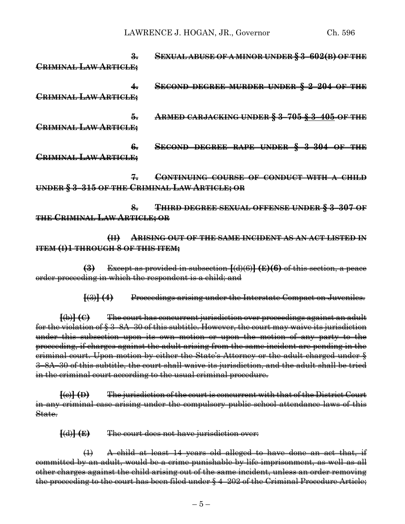LAWRENCE J. HOGAN, JR., Governor Ch. 596

**3. SEXUAL ABUSE OF A MINOR UNDER § 3–602(B) OF THE CRIMINAL LAW ARTICLE; 4. SECOND DEGREE MURDER UNDER § 2–204 OF THE CRIMINAL LAW ARTICLE; 5. ARMED CARJACKING UNDER § 3–705 § 3–405 OF THE CRIMINAL LAW ARTICLE; 6. SECOND DEGREE RAPE UNDER § 3–304 OF THE CRIMINAL LAW ARTICLE; 7. CONTINUING COURSE OF CONDUCT WITH A CHILD UNDER § 3–315 OF THE CRIMINAL LAW ARTICLE; OR 8. THIRD DEGREE SEXUAL OFFENSE UNDER § 3–307 OF THE CRIMINAL LAW ARTICLE; OR**

**(II) ARISING OUT OF THE SAME INCIDENT AS AN ACT LISTED IN ITEM (I)1 THROUGH 8 OF THIS ITEM;**

**(3)** Except as provided in subsection **[**(d)(6)**] (E)(6)** of this section, a peace order proceeding in which the respondent is a child; and

**[**(3)**] (4)** Proceedings arising under the Interstate Compact on Juveniles.

**[**(b)**] (C)** The court has concurrent jurisdiction over proceedings against an adult for the violation of § 3–8A–30 of this subtitle. However, the court may waive its jurisdiction under this subsection upon its own motion or upon the motion of any party to the proceeding, if charges against the adult arising from the same incident are pending in the criminal court. Upon motion by either the State's Attorney or the adult charged under § 3–8A–30 of this subtitle, the court shall waive its jurisdiction, and the adult shall be tried in the criminal court according to the usual criminal procedure.

**[**(c)**] (D)** The jurisdiction of the court is concurrent with that of the District Court in any criminal case arising under the compulsory public school attendance laws of this State.

**[**(d)**] (E)** The court does not have jurisdiction over:

(1) A child at least 14 years old alleged to have done an act that, if committed by an adult, would be a crime punishable by life imprisonment, as well as all other charges against the child arising out of the same incident, unless an order removing the proceeding to the court has been filed under § 4–202 of the Criminal Procedure Article;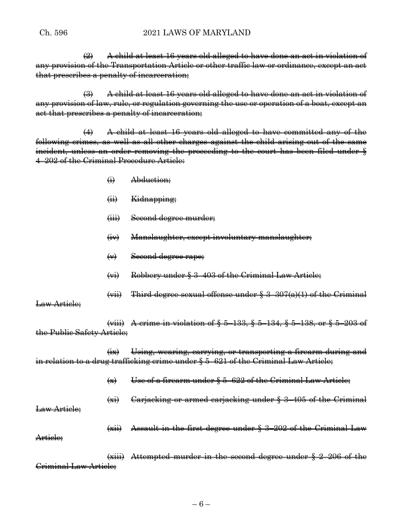## Ch. 596 2021 LAWS OF MARYLAND

 $\left( 2\right)$  A child at least 16 years old alleged to have done an act in violation of any provision of the Transportation Article or other traffic law or ordinance, except an act that prescribes a penalty of incarceration;

(3) A child at least 16 years old alleged to have done an act in violation of any provision of law, rule, or regulation governing the use or operation of a boat, except an act that prescribes a penalty of incarceration;

(4) A child at least 16 years old alleged to have committed any of the following crimes, as well as all other charges against the child arising out of the same incident, unless an order removing the proceeding to the court has been filed under § 4–202 of the Criminal Procedure Article:

- (i) Abduction;
- (ii) Kidnapping;
- (iii) Second degree murder;
- (iv) Manslaughter, except involuntary manslaughter;
- (v) Second degree rape;
- (vi) Robbery under § 3–403 of the Criminal Law Article;
- $(vii)$  Third degree sexual offense under § 3-307(a)(1) of the Criminal

Law Article;

(viii) A crime in violation of § 5–133, § 5–134, § 5–138, or § 5–203 of the Public Safety Article;

(ix) Using, wearing, carrying, or transporting a firearm during and in relation to a drug trafficking crime under § 5–621 of the Criminal Law Article;

- $\left\langle x\right\rangle$  Use of a firearm under § 5–622 of the Criminal Law Article;
- (xi) Carjacking or armed carjacking under § 3–405 of the Criminal

Law Article:

Article:

(xii) Assault in the first degree under § 3–202 of the Criminal Law

(xiii) Attempted murder in the second degree under § 2–206 of the Criminal Law Article;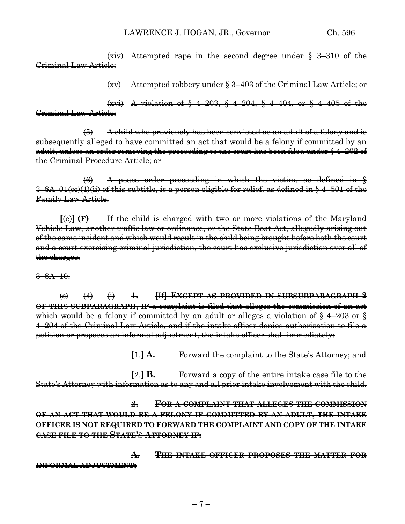LAWRENCE J. HOGAN, JR., Governor Ch. 596

(xiv) Attempted rape in the second degree under § 3–310 of the Criminal Law Article;

(xv) Attempted robbery under § 3–403 of the Criminal Law Article; or

(xvi) A violation of § 4–203, § 4–204, § 4–404, or § 4–405 of the Criminal Law Article;

(5) A child who previously has been convicted as an adult of a felony and is subsequently alleged to have committed an act that would be a felony if committed by an adult, unless an order removing the proceeding to the court has been filed under § 4–202 of the Criminal Procedure Article; or

(6) A peace order proceeding in which the victim, as defined in § 3–8A–01(cc)(1)(ii) of this subtitle, is a person eligible for relief, as defined in § 4–501 of the Family Law Article.

**[**(e)**] (F)** If the child is charged with two or more violations of the Maryland Vehicle Law, another traffic law or ordinance, or the State Boat Act, allegedly arising out of the same incident and which would result in the child being brought before both the court and a court exercising criminal jurisdiction, the court has exclusive jurisdiction over all of the charges.

3–8A–10.

(c) (4) (i) **1. [**If**] EXCEPT AS PROVIDED IN SUBSUBPARAGRAPH 2 OF THIS SUBPARAGRAPH, IF** a complaint is filed that alleges the commission of an act which would be a felony if committed by an adult or alleges a violation of § 4–203 or § 4–204 of the Criminal Law Article, and if the intake officer denies authorization to file a petition or proposes an informal adjustment, the intake officer shall immediately:

**[**1.**] A.** Forward the complaint to the State's Attorney; and

**[**2.**] B.** Forward a copy of the entire intake case file to the State's Attorney with information as to any and all prior intake involvement with the child.

**2. FOR A COMPLAINT THAT ALLEGES THE COMMISSION OF AN ACT THAT WOULD BE A FELONY IF COMMITTED BY AN ADULT, THE INTAKE OFFICER IS NOT REQUIRED TO FORWARD THE COMPLAINT AND COPY OF THE INTAKE CASE FILE TO THE STATE'S ATTORNEY IF:**

**A. THE INTAKE OFFICER PROPOSES THE MATTER FOR INFORMAL ADJUSTMENT;**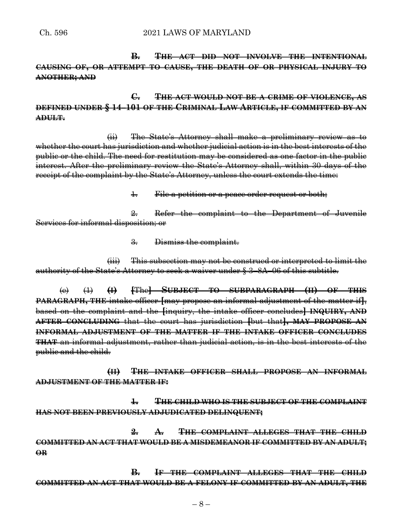**B. THE ACT DID NOT INVOLVE THE INTENTIONAL CAUSING OF, OR ATTEMPT TO CAUSE, THE DEATH OF OR PHYSICAL INJURY TO ANOTHER; AND**

**C. THE ACT WOULD NOT BE A CRIME OF VIOLENCE, AS DEFINED UNDER § 14–101 OF THE CRIMINAL LAW ARTICLE, IF COMMITTED BY AN ADULT.**

(ii) The State's Attorney shall make a preliminary review as to whether the court has jurisdiction and whether judicial action is in the best interests of the public or the child. The need for restitution may be considered as one factor in the public interest. After the preliminary review the State's Attorney shall, within 30 days of the receipt of the complaint by the State's Attorney, unless the court extends the time:

1. File a petition or a peace order request or both;

2. Refer the complaint to the Department of Juvenile Services for informal disposition; or

3. Dismiss the complaint.

(iii) This subsection may not be construed or interpreted to limit the authority of the State's Attorney to seek a waiver under § 3–8A–06 of this subtitle.

(e) (1) **(I) [**The**] SUBJECT TO SUBPARAGRAPH (II) OF THIS PARAGRAPH, THE** intake officer **[**may propose an informal adjustment of the matter if**]**, based on the complaint and the **[**inquiry, the intake officer concludes**] INQUIRY, AND AFTER CONCLUDING** that the court has jurisdiction **[**but that**], MAY PROPOSE AN INFORMAL ADJUSTMENT OF THE MATTER IF THE INTAKE OFFICER CONCLUDES THAT** an informal adjustment, rather than judicial action, is in the best interests of the public and the child.

**(II) THE INTAKE OFFICER SHALL PROPOSE AN INFORMAL ADJUSTMENT OF THE MATTER IF:**

**1. THE CHILD WHO IS THE SUBJECT OF THE COMPLAINT HAS NOT BEEN PREVIOUSLY ADJUDICATED DELINQUENT;**

**2. A. THE COMPLAINT ALLEGES THAT THE CHILD COMMITTED AN ACT THAT WOULD BE A MISDEMEANOR IF COMMITTED BY AN ADULT; OR**

**B. IF THE COMPLAINT ALLEGES THAT THE CHILD COMMITTED AN ACT THAT WOULD BE A FELONY IF COMMITTED BY AN ADULT, THE**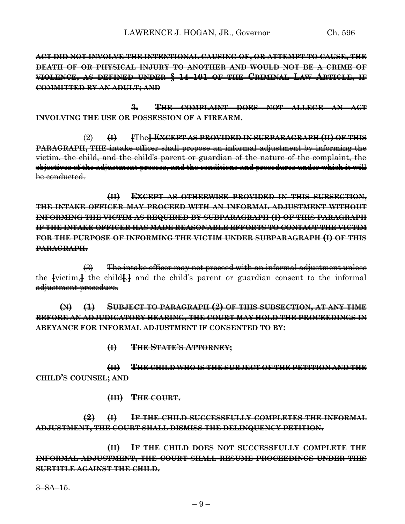**ACT DID NOT INVOLVE THE INTENTIONAL CAUSING OF, OR ATTEMPT TO CAUSE, THE DEATH OF OR PHYSICAL INJURY TO ANOTHER AND WOULD NOT BE A CRIME OF VIOLENCE, AS DEFINED UNDER § 14–101 OF THE CRIMINAL LAW ARTICLE, IF COMMITTED BY AN ADULT; AND**

**3. THE COMPLAINT DOES NOT ALLEGE AN ACT INVOLVING THE USE OR POSSESSION OF A FIREARM.**

(2) **(I) [**The**] EXCEPT AS PROVIDED IN SUBPARAGRAPH (II) OF THIS PARAGRAPH, THE** intake officer shall propose an informal adjustment by informing the victim, the child, and the child's parent or guardian of the nature of the complaint, the objectives of the adjustment process, and the conditions and procedures under which it will be conducted.

**(II) EXCEPT AS OTHERWISE PROVIDED IN THIS SUBSECTION, THE INTAKE OFFICER MAY PROCEED WITH AN INFORMAL ADJUSTMENT WITHOUT INFORMING THE VICTIM AS REQUIRED BY SUBPARAGRAPH (I) OF THIS PARAGRAPH IF THE INTAKE OFFICER HAS MADE REASONABLE EFFORTS TO CONTACT THE VICTIM FOR THE PURPOSE OF INFORMING THE VICTIM UNDER SUBPARAGRAPH (I) OF THIS PARAGRAPH.**

(3) The intake officer may not proceed with an informal adjustment unless the **[**victim,**]** the child**[**,**]** and the child's parent or guardian consent to the informal adjustment procedure.

**(N) (1) SUBJECT TO PARAGRAPH (2) OF THIS SUBSECTION, AT ANY TIME BEFORE AN ADJUDICATORY HEARING, THE COURT MAY HOLD THE PROCEEDINGS IN ABEYANCE FOR INFORMAL ADJUSTMENT IF CONSENTED TO BY:**

**(I) THE STATE'S ATTORNEY;**

**(II) THE CHILD WHO IS THE SUBJECT OF THE PETITION AND THE CHILD'S COUNSEL; AND**

**(III) THE COURT.**

**(2) (I) IF THE CHILD SUCCESSFULLY COMPLETES THE INFORMAL ADJUSTMENT, THE COURT SHALL DISMISS THE DELINQUENCY PETITION.**

**(II) IF THE CHILD DOES NOT SUCCESSFULLY COMPLETE THE INFORMAL ADJUSTMENT, THE COURT SHALL RESUME PROCEEDINGS UNDER THIS SUBTITLE AGAINST THE CHILD.**

3–8A–15.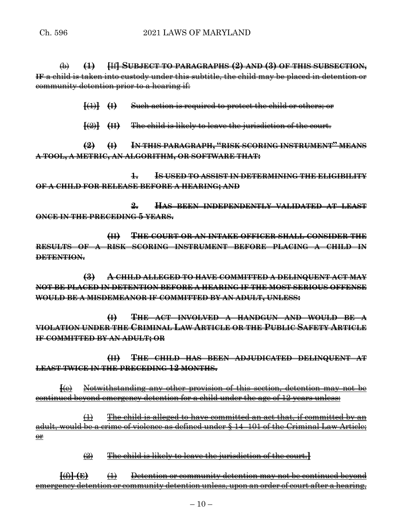(b) **(1) [**If**] SUBJECT TO PARAGRAPHS (2) AND (3) OF THIS SUBSECTION, IF** a child is taken into custody under this subtitle, the child may be placed in detention or community detention prior to a hearing if:

**[**(1)**] (I)** Such action is required to protect the child or others; or

**[**(2)**] (II)** The child is likely to leave the jurisdiction of the court.

**(2) (I) IN THIS PARAGRAPH, "RISK SCORING INSTRUMENT" MEANS A TOOL, A METRIC, AN ALGORITHM, OR SOFTWARE THAT:**

**1. IS USED TO ASSIST IN DETERMINING THE ELIGIBILITY OF A CHILD FOR RELEASE BEFORE A HEARING; AND**

**2. HAS BEEN INDEPENDENTLY VALIDATED AT LEAST ONCE IN THE PRECEDING 5 YEARS.**

**(II) THE COURT OR AN INTAKE OFFICER SHALL CONSIDER THE RESULTS OF A RISK SCORING INSTRUMENT BEFORE PLACING A CHILD IN DETENTION.**

**(3) A CHILD ALLEGED TO HAVE COMMITTED A DELINQUENT ACT MAY NOT BE PLACED IN DETENTION BEFORE A HEARING IF THE MOST SERIOUS OFFENSE WOULD BE A MISDEMEANOR IF COMMITTED BY AN ADULT, UNLESS:**

**(I) THE ACT INVOLVED A HANDGUN AND WOULD BE A VIOLATION UNDER THE CRIMINAL LAW ARTICLE OR THE PUBLIC SAFETY ARTICLE IF COMMITTED BY AN ADULT; OR**

**(II) THE CHILD HAS BEEN ADJUDICATED DELINQUENT AT LEAST TWICE IN THE PRECEDING 12 MONTHS.**

**[**(e) Notwithstanding any other provision of this section, detention may not be continued beyond emergency detention for a child under the age of 12 years unless:

 $(1)$  The child is alleged to have committed an act that, if committed by an adult, would be a crime of violence as defined under § 14–101 of the Criminal Law Article; or

(2) The child is likely to leave the jurisdiction of the court.**]**

**[**(f)**] (E)** (1) Detention or community detention may not be continued beyond emergency detention or community detention unless, upon an order of court after a hearing,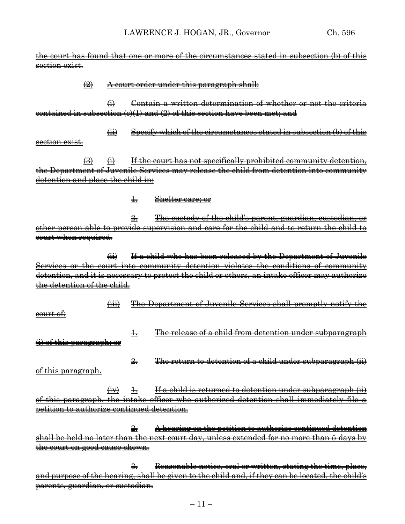| <del>the court has found that one or more of the circumstances stated in subsection (b) of this</del> |                            |                           |                |                                                                                            |
|-------------------------------------------------------------------------------------------------------|----------------------------|---------------------------|----------------|--------------------------------------------------------------------------------------------|
| section exist.                                                                                        |                            |                           |                |                                                                                            |
|                                                                                                       |                            |                           |                |                                                                                            |
|                                                                                                       | $\left(\frac{1}{2}\right)$ |                           |                | A court order under this paragraph shall:                                                  |
|                                                                                                       |                            |                           |                |                                                                                            |
|                                                                                                       |                            | $\leftrightarrow$         |                | Contain a written determination of whether or not the criteria                             |
| contained in subsection (c)(1) and (2) of this section have been met; and                             |                            |                           |                |                                                                                            |
|                                                                                                       |                            |                           |                |                                                                                            |
|                                                                                                       |                            | $\overline{a}$            |                | Specify which of the circumstances stated in subsection (b) of this                        |
| section exist.                                                                                        |                            |                           |                |                                                                                            |
|                                                                                                       | $\bigoplus$                | $\ddot{a}$                |                | If the court has not specifically prohibited community detention,                          |
|                                                                                                       |                            |                           |                | the Department of Juvenile Services may release the child from detention into community    |
| <del>detention and place the child in:</del>                                                          |                            |                           |                |                                                                                            |
|                                                                                                       |                            |                           |                |                                                                                            |
|                                                                                                       |                            |                           | ╈╤             | Shelter care; or                                                                           |
|                                                                                                       |                            |                           |                |                                                                                            |
|                                                                                                       |                            |                           | $\frac{9}{27}$ | The custody of the child's parent, guardian, custodian, or                                 |
|                                                                                                       |                            |                           |                | other person able to provide supervision and care for the child and to return the child to |
| court when required.                                                                                  |                            |                           |                |                                                                                            |
|                                                                                                       |                            |                           |                |                                                                                            |
|                                                                                                       |                            | $\overrightarrow{41}$     |                | If a child who has been released by the Department of Juvenile                             |
|                                                                                                       |                            |                           |                | Services or the court into community detention violates the conditions of community        |
| detention, and it is necessary to protect the child or others, an intake officer may authorize        |                            |                           |                |                                                                                            |
| <del>detention of the child.</del>                                                                    |                            |                           |                |                                                                                            |
|                                                                                                       |                            |                           |                |                                                                                            |
|                                                                                                       |                            | $\overline{(\mathbf{H})}$ |                | The Department of Juvenile Services shall promptly notify the                              |
| <del>court of:</del>                                                                                  |                            |                           |                |                                                                                            |
|                                                                                                       |                            |                           |                |                                                                                            |
|                                                                                                       |                            |                           | $\ddagger$     | The release of a child from detention under subparagraph                                   |
| <del>(i) of this paragraph; or</del>                                                                  |                            |                           |                |                                                                                            |
|                                                                                                       |                            |                           |                |                                                                                            |
|                                                                                                       |                            |                           | $\frac{9}{27}$ | The return to detention of a child under subparagraph (ii)                                 |
| <del>of this paragraph.</del>                                                                         |                            |                           |                |                                                                                            |
|                                                                                                       |                            |                           |                |                                                                                            |
|                                                                                                       |                            | $\left(\frac{1}{2}$       | $\pm$          | <u>If a child is returned to detention under subparagraph (ii)</u>                         |
|                                                                                                       |                            |                           |                | of this paragraph, the intake officer who authorized detention shall immediately file a    |
| petition to authorize continued detention.                                                            |                            |                           |                |                                                                                            |
|                                                                                                       |                            |                           |                |                                                                                            |
|                                                                                                       |                            |                           | 옾.             | A hearing on the petition to authorize continued detention                                 |
|                                                                                                       |                            |                           |                | shall be held no later than the next court day, unless extended for no more than 5 days by |
| <del>the court on good cause shown.</del>                                                             |                            |                           |                |                                                                                            |
|                                                                                                       |                            |                           |                |                                                                                            |
|                                                                                                       |                            |                           |                |                                                                                            |

3. Reasonable notice, oral or written, stating the time, place, and purpose of the hearing, shall be given to the child and, if they can be located, the child's parents, guardian, or custodian.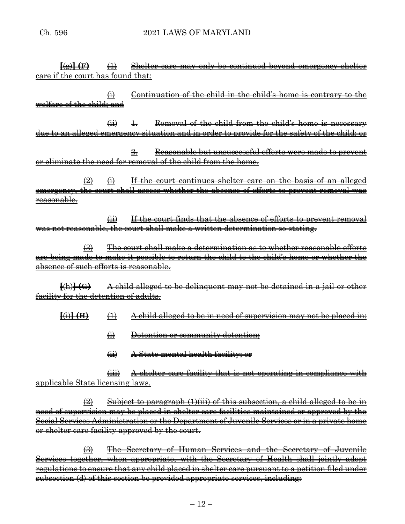**[**(g)**] (F)** (1) Shelter care may only be continued beyond emergency shelter care if the court has found that:

 $\overrightarrow{H}$  Continuation of the child in the child's home is contrary to the welfare of the child; and

 $\overrightarrow{ii}$  1. Removal of the child from the child's home is necessary due to an alleged emergency situation and in order to provide for the safety of the child; or

2. Reasonable but unsuccessful efforts were made to prevent or eliminate the need for removal of the child from the home.

 $\Rightarrow$   $\leftrightarrow$  If the court continues shelter care on the basis of an alleged emergency, the court shall assess whether the absence of efforts to prevent removal was reasonable.

 $\overrightarrow{ii}$  If the court finds that the absence of efforts to prevent removal was not reasonable, the court shall make a written determination so stating.

(3) The court shall make a determination as to whether reasonable efforts are being made to make it possible to return the child to the child's home or whether the absence of such efforts is reasonable.

**[**(h)**] (G)** A child alleged to be delinquent may not be detained in a jail or other facility for the detention of adults.

**[**(i)**] (H)** (1) A child alleged to be in need of supervision may not be placed in:

- (i) Detention or community detention;
- (ii) A State mental health facility; or

(iii) A shelter care facility that is not operating in compliance with applicable State licensing laws.

 $\left( 2\right)$  Subject to paragraph (1)(iii) of this subsection, a child alleged to be in need of supervision may be placed in shelter care facilities maintained or approved by the Social Services Administration or the Department of Juvenile Services or in a private home or shelter care facility approved by the court.

(3) The Secretary of Human Services and the Secretary of Juvenile Services together, when appropriate, with the Secretary of Health shall jointly adopt regulations to ensure that any child placed in shelter care pursuant to a petition filed under subsection (d) of this section be provided appropriate services, including: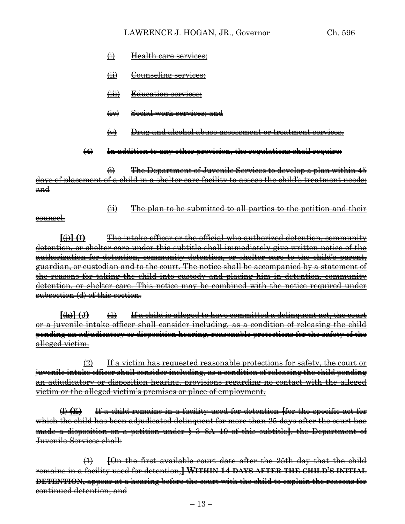- (i) Health care services;
- (ii) Counseling services;
- (iii) Education services;
- (iv) Social work services; and
- (v) Drug and alcohol abuse assessment or treatment services.
- $(4)$  In addition to any other provision, the regulations shall require:

(i) The Department of Juvenile Services to develop a plan within 45 days of placement of a child in a shelter care facility to assess the child's treatment needs; and

(ii) The plan to be submitted to all parties to the petition and their

counsel.

**[**(j)**] (I)** The intake officer or the official who authorized detention, community detention, or shelter care under this subtitle shall immediately give written notice of the authorization for detention, community detention, or shelter care to the child's parent, guardian, or custodian and to the court. The notice shall be accompanied by a statement of the reasons for taking the child into custody and placing him in detention, community detention, or shelter care. This notice may be combined with the notice required under subsection (d) of this section.

**[**(k)**] (J)** (1) If a child is alleged to have committed a delinquent act, the court or a juvenile intake officer shall consider including, as a condition of releasing the child pending an adjudicatory or disposition hearing, reasonable protections for the safety of the alleged victim.

 $\left( 2\right)$  If a victim has requested reasonable protections for safety, the court or juvenile intake officer shall consider including, as a condition of releasing the child pending an adjudicatory or disposition hearing, provisions regarding no contact with the alleged victim or the alleged victim's premises or place of employment.

(l) **(K)** If a child remains in a facility used for detention **[**for the specific act for which the child has been adjudicated delinquent for more than 25 days after the court has made a disposition on a petition under § 3–8A–19 of this subtitle**]**, the Department of Juvenile Services shall:

(1) **[**On the first available court date after the 25th day that the child remains in a facility used for detention,**] WITHIN 14 DAYS AFTER THE CHILD'S INITIAL DETENTION,** appear at a hearing before the court with the child to explain the reasons for continued detention; and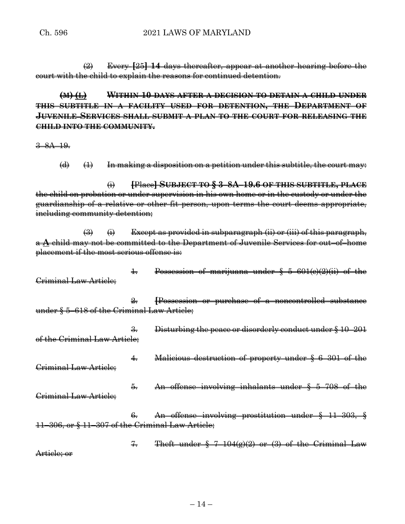(2) Every **[**25**] 14** days thereafter, appear at another hearing before the court with the child to explain the reasons for continued detention.

**(M) (L) WITHIN 10 DAYS AFTER A DECISION TO DETAIN A CHILD UNDER THIS SUBTITLE IN A FACILITY USED FOR DETENTION, THE DEPARTMENT OF JUVENILE SERVICES SHALL SUBMIT A PLAN TO THE COURT FOR RELEASING THE CHILD INTO THE COMMUNITY.**

3–8A–19.

(d)  $(1)$  In making a disposition on a petition under this subtitle, the court may:

(i) **[**Place**] SUBJECT TO § 3–8A–19.6 OF THIS SUBTITLE, PLACE** the child on probation or under supervision in his own home or in the custody or under the guardianship of a relative or other fit person, upon terms the court deems appropriate, including community detention;

 $\Rightarrow$   $\leftrightarrow$  Except as provided in subparagraph (ii) or (iii) of this paragraph, a **A** child may not be committed to the Department of Juvenile Services for out–of–home placement if the most serious offense is:

1. Possession of marijuana under § 5–601(c)(2)(ii) of the Criminal Law Article;

2. **[**Possession or purchase of a noncontrolled substance under § 5–618 of the Criminal Law Article;

- 3. Disturbing the peace or disorderly conduct under § 10–201 of the Criminal Law Article;
- 4. Malicious destruction of property under § 6–301 of the Criminal Law Article;
	- 5. An offense involving inhalants under § 5–708 of the
- Criminal Law Article;
- 6. An offense involving prostitution under § 11–303, § 11–306, or § 11–307 of the Criminal Law Article;

 $7.$  Theft under  $\frac{5}{3}$   $7-104(g)(2)$  or (3) of the Criminal Law Article; or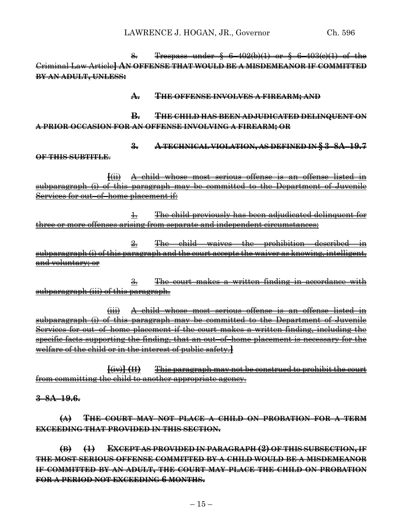8. Trespass under § 6–402(b)(1) or § 6–403(c)(1) of the Criminal Law Article**] AN OFFENSE THAT WOULD BE A MISDEMEANOR IF COMMITTED BY AN ADULT, UNLESS:**

## **A. THE OFFENSE INVOLVES A FIREARM; AND**

**B. THE CHILD HAS BEEN ADJUDICATED DELINQUENT ON A PRIOR OCCASION FOR AN OFFENSE INVOLVING A FIREARM; OR**

**3. A TECHNICAL VIOLATION, AS DEFINED IN § 3–8A–19.7**

**OF THIS SUBTITLE**.

**[**(ii) A child whose most serious offense is an offense listed in subparagraph (i) of this paragraph may be committed to the Department of Juvenile Services for out–of–home placement if:

1. The child previously has been adjudicated delinquent for three or more offenses arising from separate and independent circumstances;

2. The child waives the prohibition described in subparagraph (i) of this paragraph and the court accepts the waiver as knowing, intelligent, and voluntary; or

3. The court makes a written finding in accordance with subparagraph (iii) of this paragraph.

(iii) A child whose most serious offense is an offense listed in subparagraph (i) of this paragraph may be committed to the Department of Juvenile Services for out–of–home placement if the court makes a written finding, including the specific facts supporting the finding, that an out–of–home placement is necessary for the welfare of the child or in the interest of public safety.**]**

**[**(iv)**] (II)** This paragraph may not be construed to prohibit the court from committing the child to another appropriate agency.

**3–8A–19.6.**

**(A) THE COURT MAY NOT PLACE A CHILD ON PROBATION FOR A TERM EXCEEDING THAT PROVIDED IN THIS SECTION.**

**(B) (1) EXCEPT AS PROVIDED IN PARAGRAPH (2) OF THIS SUBSECTION, IF THE MOST SERIOUS OFFENSE COMMITTED BY A CHILD WOULD BE A MISDEMEANOR IF COMMITTED BY AN ADULT, THE COURT MAY PLACE THE CHILD ON PROBATION FOR A PERIOD NOT EXCEEDING 6 MONTHS.**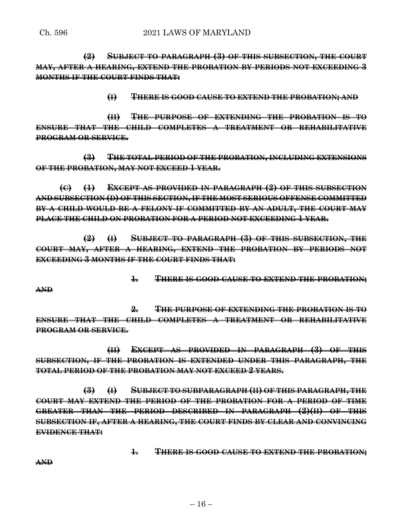**(2) SUBJECT TO PARAGRAPH (3) OF THIS SUBSECTION, THE COURT MAY, AFTER A HEARING, EXTEND THE PROBATION BY PERIODS NOT EXCEEDING 3 MONTHS IF THE COURT FINDS THAT:**

**(I) THERE IS GOOD CAUSE TO EXTEND THE PROBATION; AND** 

**(II) THE PURPOSE OF EXTENDING THE PROBATION IS TO ENSURE THAT THE CHILD COMPLETES A TREATMENT OR REHABILITATIVE PROGRAM OR SERVICE.**

**(3) THE TOTAL PERIOD OF THE PROBATION, INCLUDING EXTENSIONS OF THE PROBATION, MAY NOT EXCEED 1 YEAR.**

**(C) (1) EXCEPT AS PROVIDED IN PARAGRAPH (2) OF THIS SUBSECTION AND SUBSECTION (D) OF THIS SECTION, IF THE MOST SERIOUS OFFENSE COMMITTED BY A CHILD WOULD BE A FELONY IF COMMITTED BY AN ADULT, THE COURT MAY PLACE THE CHILD ON PROBATION FOR A PERIOD NOT EXCEEDING 1 YEAR.**

**(2) (I) SUBJECT TO PARAGRAPH (3) OF THIS SUBSECTION, THE COURT MAY, AFTER A HEARING, EXTEND THE PROBATION BY PERIODS NOT EXCEEDING 3 MONTHS IF THE COURT FINDS THAT:**

**1. THERE IS GOOD CAUSE TO EXTEND THE PROBATION;**

**AND** 

**2. THE PURPOSE OF EXTENDING THE PROBATION IS TO ENSURE THAT THE CHILD COMPLETES A TREATMENT OR REHABILITATIVE PROGRAM OR SERVICE.**

**(II) EXCEPT AS PROVIDED IN PARAGRAPH (3) OF THIS SUBSECTION, IF THE PROBATION IS EXTENDED UNDER THIS PARAGRAPH, THE TOTAL PERIOD OF THE PROBATION MAY NOT EXCEED 2 YEARS.**

**(3) (I) SUBJECT TO SUBPARAGRAPH (II) OF THIS PARAGRAPH, THE COURT MAY EXTEND THE PERIOD OF THE PROBATION FOR A PERIOD OF TIME GREATER THAN THE PERIOD DESCRIBED IN PARAGRAPH (2)(II) OF THIS SUBSECTION IF, AFTER A HEARING, THE COURT FINDS BY CLEAR AND CONVINCING EVIDENCE THAT:**

**1. THERE IS GOOD CAUSE TO EXTEND THE PROBATION;**

**AND**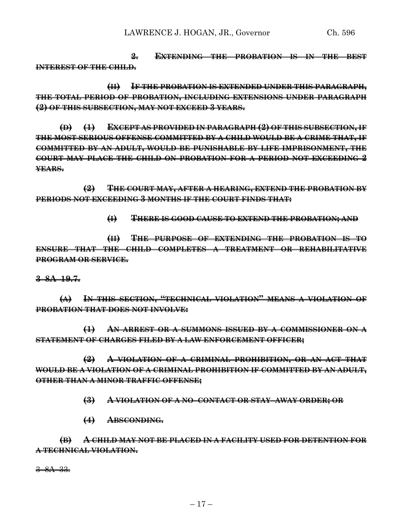**2. EXTENDING THE PROBATION IS IN THE BEST INTEREST OF THE CHILD.**

**(II) IF THE PROBATION IS EXTENDED UNDER THIS PARAGRAPH, THE TOTAL PERIOD OF PROBATION, INCLUDING EXTENSIONS UNDER PARAGRAPH (2) OF THIS SUBSECTION, MAY NOT EXCEED 3 YEARS.**

**(D) (1) EXCEPT AS PROVIDED IN PARAGRAPH (2) OF THIS SUBSECTION, IF THE MOST SERIOUS OFFENSE COMMITTED BY A CHILD WOULD BE A CRIME THAT, IF COMMITTED BY AN ADULT, WOULD BE PUNISHABLE BY LIFE IMPRISONMENT, THE COURT MAY PLACE THE CHILD ON PROBATION FOR A PERIOD NOT EXCEEDING 2 YEARS.**

**(2) THE COURT MAY, AFTER A HEARING, EXTEND THE PROBATION BY PERIODS NOT EXCEEDING 3 MONTHS IF THE COURT FINDS THAT:**

**(I) THERE IS GOOD CAUSE TO EXTEND THE PROBATION; AND** 

**(II) THE PURPOSE OF EXTENDING THE PROBATION IS TO ENSURE THAT THE CHILD COMPLETES A TREATMENT OR REHABILITATIVE PROGRAM OR SERVICE.**

**3–8A–19.7.**

**(A) IN THIS SECTION, "TECHNICAL VIOLATION" MEANS A VIOLATION OF PROBATION THAT DOES NOT INVOLVE:**

**(1) AN ARREST OR A SUMMONS ISSUED BY A COMMISSIONER ON A STATEMENT OF CHARGES FILED BY A LAW ENFORCEMENT OFFICER;**

**(2) A VIOLATION OF A CRIMINAL PROHIBITION, OR AN ACT THAT WOULD BE A VIOLATION OF A CRIMINAL PROHIBITION IF COMMITTED BY AN ADULT, OTHER THAN A MINOR TRAFFIC OFFENSE;**

**(3) A VIOLATION OF A NO–CONTACT OR STAY–AWAY ORDER; OR**

**(4) ABSCONDING.**

**(B) A CHILD MAY NOT BE PLACED IN A FACILITY USED FOR DETENTION FOR A TECHNICAL VIOLATION.**

3–8A–33.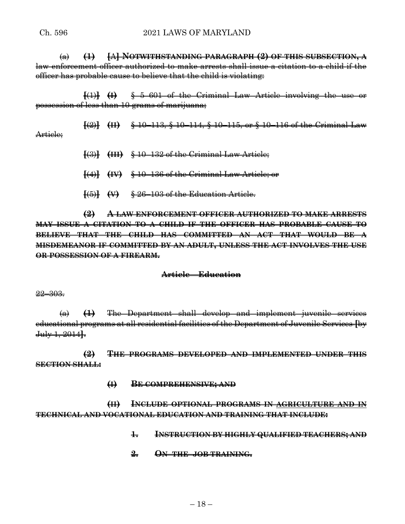(a) **(1) [**A**] NOTWITHSTANDING PARAGRAPH (2) OF THIS SUBSECTION, A** law enforcement officer authorized to make arrests shall issue a citation to a child if the officer has probable cause to believe that the child is violating:

**[**(1)**] (I)** § 5–601 of the Criminal Law Article involving the use or possession of less than 10 grams of marijuana;

**[**(2)**] (II)** § 10–113, § 10–114, § 10–115, or § 10–116 of the Criminal Law Article:

- **[**(3)**] (III)** § 10–132 of the Criminal Law Article;
- **[**(4)**] (IV)** § 10–136 of the Criminal Law Article; or
- **[**(5)**] (V)** § 26–103 of the Education Article.

**(2) A LAW ENFORCEMENT OFFICER AUTHORIZED TO MAKE ARRESTS MAY ISSUE A CITATION TO A CHILD IF THE OFFICER HAS PROBABLE CAUSE TO BELIEVE THAT THE CHILD HAS COMMITTED AN ACT THAT WOULD BE A MISDEMEANOR IF COMMITTED BY AN ADULT, UNLESS THE ACT INVOLVES THE USE OR POSSESSION OF A FIREARM.**

### **Article – Education**

#### 22–303.

(a) **(1)** The Department shall develop and implement juvenile services educational programs at all residential facilities of the Department of Juvenile Services **[**by July 1, 2014**]**.

**(2) THE PROGRAMS DEVELOPED AND IMPLEMENTED UNDER THIS SECTION SHALL:**

**(I) BE COMPREHENSIVE; AND** 

**(II) INCLUDE OPTIONAL PROGRAMS IN AGRICULTURE AND IN TECHNICAL AND VOCATIONAL EDUCATION AND TRAINING THAT INCLUDE:**

- **1. INSTRUCTION BY HIGHLY QUALIFIED TEACHERS; AND**
- **2. ON–THE–JOB TRAINING.**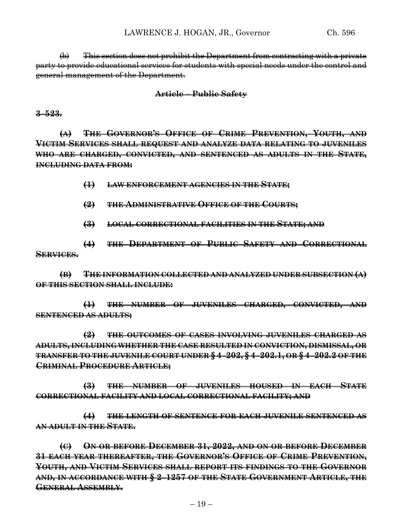(b) This section does not prohibit the Department from contracting with a private party to provide educational services for students with special needs under the control and general management of the Department.

#### **Article – Public Safety**

**3–523.**

**(A) THE GOVERNOR'S OFFICE OF CRIME PREVENTION, YOUTH, AND VICTIM SERVICES SHALL REQUEST AND ANALYZE DATA RELATING TO JUVENILES WHO ARE CHARGED, CONVICTED, AND SENTENCED AS ADULTS IN THE STATE, INCLUDING DATA FROM:**

**(1) LAW ENFORCEMENT AGENCIES IN THE STATE;**

**(2) THE ADMINISTRATIVE OFFICE OF THE COURTS;**

**(3) LOCAL CORRECTIONAL FACILITIES IN THE STATE; AND**

**(4) THE DEPARTMENT OF PUBLIC SAFETY AND CORRECTIONAL SERVICES.**

**(B) THE INFORMATION COLLECTED AND ANALYZED UNDER SUBSECTION (A) OF THIS SECTION SHALL INCLUDE:**

**(1) THE NUMBER OF JUVENILES CHARGED, CONVICTED, AND SENTENCED AS ADULTS;**

**(2) THE OUTCOMES OF CASES INVOLVING JUVENILES CHARGED AS ADULTS, INCLUDING WHETHER THE CASE RESULTED IN CONVICTION, DISMISSAL, OR TRANSFER TO THE JUVENILE COURT UNDER § 4–202, § 4–202.1, OR § 4–202.2 OF THE CRIMINAL PROCEDURE ARTICLE;**

**(3) THE NUMBER OF JUVENILES HOUSED IN EACH STATE CORRECTIONAL FACILITY AND LOCAL CORRECTIONAL FACILITY; AND**

**(4) THE LENGTH OF SENTENCE FOR EACH JUVENILE SENTENCED AS AN ADULT IN THE STATE.**

**(C) ON OR BEFORE DECEMBER 31, 2022, AND ON OR BEFORE DECEMBER 31 EACH YEAR THEREAFTER, THE GOVERNOR'S OFFICE OF CRIME PREVENTION, YOUTH, AND VICTIM SERVICES SHALL REPORT ITS FINDINGS TO THE GOVERNOR AND, IN ACCORDANCE WITH § 2–1257 OF THE STATE GOVERNMENT ARTICLE, THE GENERAL ASSEMBLY.**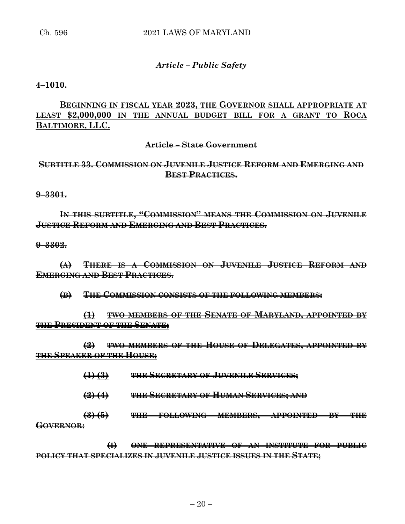## *Article – Public Safety*

**4–1010.**

**BEGINNING IN FISCAL YEAR 2023, THE GOVERNOR SHALL APPROPRIATE AT LEAST \$2,000,000 IN THE ANNUAL BUDGET BILL FOR A GRANT TO ROCA BALTIMORE, LLC.**

#### **Article – State Government**

## **SUBTITLE 33. COMMISSION ON JUVENILE JUSTICE REFORM AND EMERGING AND BEST PRACTICES.**

**9–3301.**

**IN THIS SUBTITLE, "COMMISSION" MEANS THE COMMISSION ON JUVENILE JUSTICE REFORM AND EMERGING AND BEST PRACTICES.**

**9–3302.**

**(A) THERE IS A COMMISSION ON JUVENILE JUSTICE REFORM AND EMERGING AND BEST PRACTICES.**

**(B) THE COMMISSION CONSISTS OF THE FOLLOWING MEMBERS:**

**(1) TWO MEMBERS OF THE SENATE OF MARYLAND, APPOINTED BY THE PRESIDENT OF THE SENATE;**

**(2) TWO MEMBERS OF THE HOUSE OF DELEGATES, APPOINTED BY THE SPEAKER OF THE HOUSE;**

- **(1) (3) THE SECRETARY OF JUVENILE SERVICES;**
- **(2) (4) THE SECRETARY OF HUMAN SERVICES; AND**

**(3) (5) THE FOLLOWING MEMBERS, APPOINTED BY THE GOVERNOR:**

**(I) ONE REPRESENTATIVE OF AN INSTITUTE FOR PUBLIC POLICY THAT SPECIALIZES IN JUVENILE JUSTICE ISSUES IN THE STATE;**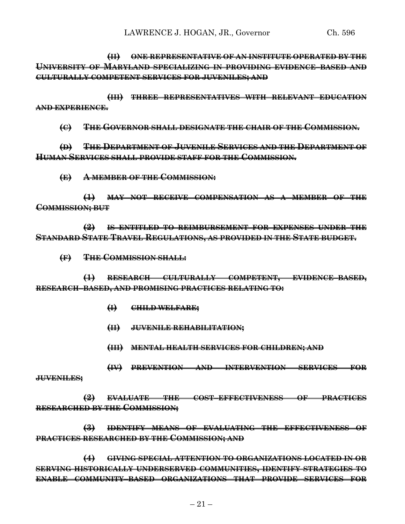**(II) ONE REPRESENTATIVE OF AN INSTITUTE OPERATED BY THE UNIVERSITY OF MARYLAND SPECIALIZING IN PROVIDING EVIDENCE–BASED AND CULTURALLY COMPETENT SERVICES FOR JUVENILES; AND**

**(III) THREE REPRESENTATIVES WITH RELEVANT EDUCATION AND EXPERIENCE.**

**(C) THE GOVERNOR SHALL DESIGNATE THE CHAIR OF THE COMMISSION.**

**(D) THE DEPARTMENT OF JUVENILE SERVICES AND THE DEPARTMENT OF HUMAN SERVICES SHALL PROVIDE STAFF FOR THE COMMISSION.**

**(E) A MEMBER OF THE COMMISSION:**

**(1) MAY NOT RECEIVE COMPENSATION AS A MEMBER OF THE COMMISSION; BUT**

**(2) IS ENTITLED TO REIMBURSEMENT FOR EXPENSES UNDER THE STANDARD STATE TRAVEL REGULATIONS, AS PROVIDED IN THE STATE BUDGET.**

**(F) THE COMMISSION SHALL:**

**(1) RESEARCH CULTURALLY COMPETENT, EVIDENCE–BASED, RESEARCH–BASED, AND PROMISING PRACTICES RELATING TO:**

- **(I) CHILD WELFARE;**
- **(II) JUVENILE REHABILITATION;**
- **(III) MENTAL HEALTH SERVICES FOR CHILDREN; AND**

**(IV) PREVENTION AND INTERVENTION SERVICES FOR**

**JUVENILES;**

**(2) EVALUATE THE COST–EFFECTIVENESS OF PRACTICES RESEARCHED BY THE COMMISSION;**

**(3) IDENTIFY MEANS OF EVALUATING THE EFFECTIVENESS OF PRACTICES RESEARCHED BY THE COMMISSION; AND**

**(4) GIVING SPECIAL ATTENTION TO ORGANIZATIONS LOCATED IN OR SERVING HISTORICALLY UNDERSERVED COMMUNITIES, IDENTIFY STRATEGIES TO ENABLE COMMUNITY–BASED ORGANIZATIONS THAT PROVIDE SERVICES FOR**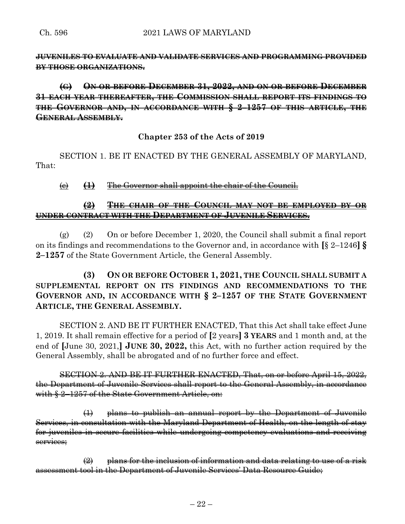**JUVENILES TO EVALUATE AND VALIDATE SERVICES AND PROGRAMMING PROVIDED BY THOSE ORGANIZATIONS.**

# **(G) ON OR BEFORE DECEMBER 31, 2022, AND ON OR BEFORE DECEMBER 31 EACH YEAR THEREAFTER, THE COMMISSION SHALL REPORT ITS FINDINGS TO THE GOVERNOR AND, IN ACCORDANCE WITH § 2–1257 OF THIS ARTICLE, THE GENERAL ASSEMBLY.**

## **Chapter 253 of the Acts of 2019**

SECTION 1. BE IT ENACTED BY THE GENERAL ASSEMBLY OF MARYLAND, That:

(c) **(1)** The Governor shall appoint the chair of the Council.

## **(2) THE CHAIR OF THE COUNCIL MAY NOT BE EMPLOYED BY OR UNDER CONTRACT WITH THE DEPARTMENT OF JUVENILE SERVICES.**

(g) (2) On or before December 1, 2020, the Council shall submit a final report on its findings and recommendations to the Governor and, in accordance with **[**§ 2–1246**] § 2–1257** of the State Government Article, the General Assembly.

# **(3) ON OR BEFORE OCTOBER 1, 2021, THE COUNCIL SHALL SUBMIT A SUPPLEMENTAL REPORT ON ITS FINDINGS AND RECOMMENDATIONS TO THE GOVERNOR AND, IN ACCORDANCE WITH § 2–1257 OF THE STATE GOVERNMENT ARTICLE, THE GENERAL ASSEMBLY.**

SECTION 2. AND BE IT FURTHER ENACTED, That this Act shall take effect June 1, 2019. It shall remain effective for a period of **[**2 years**] 3 YEARS** and 1 month and, at the end of **[**June 30, 2021,**] JUNE 30, 2022,** this Act, with no further action required by the General Assembly, shall be abrogated and of no further force and effect.

SECTION 2. AND BE IT FURTHER ENACTED, That, on or before April 15, 2022, the Department of Juvenile Services shall report to the General Assembly, in accordance with § 2–1257 of the State Government Article, on:

(1) plans to publish an annual report by the Department of Juvenile Services, in consultation with the Maryland Department of Health, on the length of stay for juveniles in secure facilities while undergoing competency evaluations and receiving services;

 $\left( 2\right)$  plans for the inclusion of information and data relating to use of a risk assessment tool in the Department of Juvenile Services' Data Resource Guide;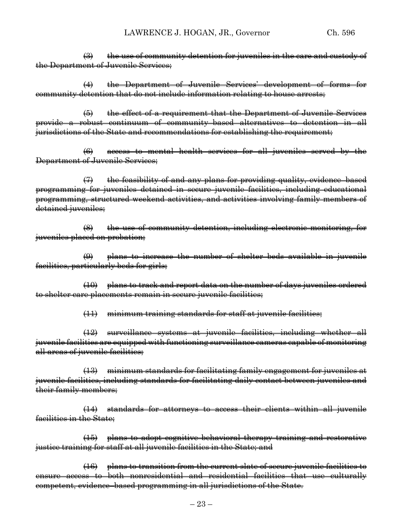$\left(\frac{1}{2}\right)$  the use of community detention for juveniles in the care and custody of the Department of Juvenile Services;

(4) the Department of Juvenile Services' development of forms for community detention that do not include information relating to house arrests;

(5) the effect of a requirement that the Department of Juvenile Services provide a robust continuum of community–based alternatives to detention in all jurisdictions of the State and recommendations for establishing the requirement;

(6) access to mental health services for all juveniles served by the Department of Juvenile Services;

(7) the feasibility of and any plans for providing quality, evidence–based programming for juveniles detained in secure juvenile facilities, including educational programming, structured weekend activities, and activities involving family members of detained juveniles;

(8) the use of community detention, including electronic monitoring, for juveniles placed on probation;

(9) plans to increase the number of shelter beds available in juvenile facilities, particularly beds for girls;

(10) plans to track and report data on the number of days juveniles ordered to shelter care placements remain in secure juvenile facilities;

(11) minimum training standards for staff at juvenile facilities;

(12) surveillance systems at juvenile facilities, including whether all juvenile facilities are equipped with functioning surveillance cameras capable of monitoring all areas of juvenile facilities;

(13) minimum standards for facilitating family engagement for juveniles at juvenile facilities, including standards for facilitating daily contact between juveniles and their family members;

(14) standards for attorneys to access their clients within all juvenile facilities in the State;

(15) plans to adopt cognitive behavioral therapy training and restorative justice training for staff at all juvenile facilities in the State; and

(16) plans to transition from the current slate of secure juvenile facilities to access to both nonresidential and residential facilities that use culturally competent, evidence–based programming in all jurisdictions of the State.